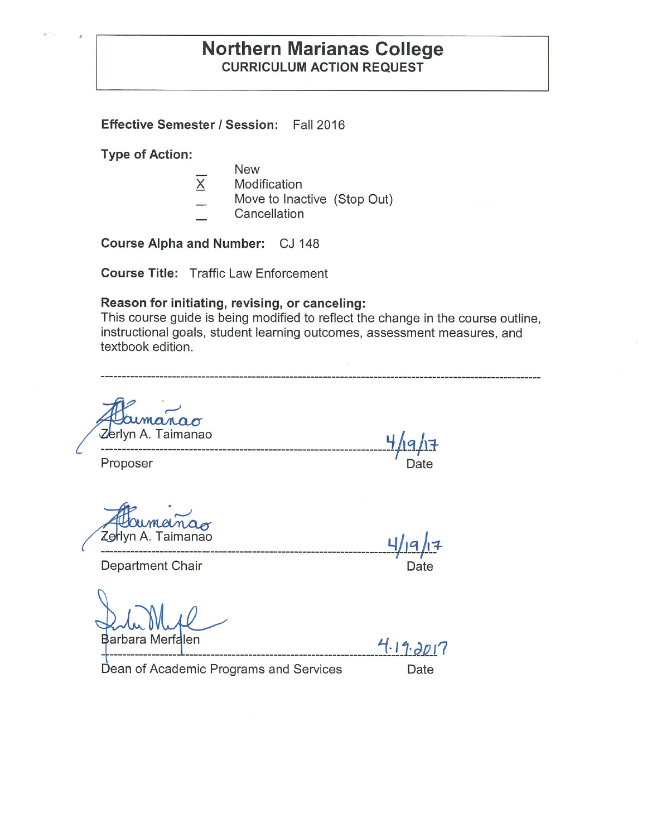### **Northern Marianas College CURRICULUM ACTION REQUEST**

**Effective Semester/ Session:** Fall 2016

**Type of Action:** 

- New
- $\overline{X}$ Modification
- Move to Inactive (Stop Out)
- **Cancellation**

**Course Alpha and Number:** CJ 148

**Course Title:** Traffic Law Enforcement

### **Reason for initiating, revising, or canceling:**

This course guide is being modified to reflect the change in the course outline, instructional goals, student learning outcomes, assessment measures, and textbook edition.

**rlamanao<br>Zerlyn A. Taimanao** 

**----------------------------------------------------------------------f19+l:1-** Proposer **Date** Date **Date** 

lyn A. Taimanao **4/ q l** +

**\_\_ ----------------------------------------------------------------------'f' ,J**-

Department Chair **Department** Chair

**Barbara Merfalen**<br>Barbara Merfalen 1.19.2017

Dean of Academic Programs and Services Date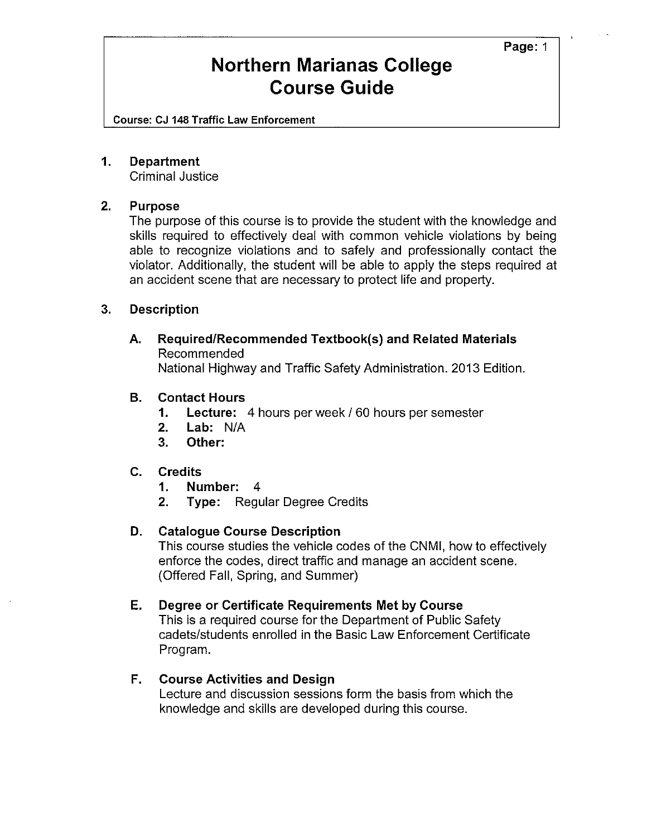**Page:** 1

### **Northern Marianas College Course Guide**

Course: CJ 148 Traffic Law Enforcement

### **1. Department**

Criminal Justice

### **2. Purpose**

The purpose of this course is to provide the student with the knowledge and skills required to effectively deal with common vehicle violations by being able to recognize violations and to safely and professionally contact the violator. Additionally, the student will be able to apply the steps required at an accident scene that are necessary to protect life and property.

### **3. Description**

**A. Required/Recommended Textbook(s) and Related Materials**  Recommended National Highway and Traffic Safety Administration. 2013 Edition.

### **B. Contact Hours**

- **1. Lecture:** 4 hours per week/ 60 hours per semester
- **2. Lab:** N/A
- **3. Other:**

### **C. Credits**

- **1. Number:** 4
- **2. Type:** Regular Degree Credits

### **D. Catalogue Course Description**

This course studies the vehicle codes of the CNMI, how to effectively enforce the codes, direct traffic and manage an accident scene. (Offered Fall, Spring, and Summer)

### **E. Degree or Certificate Requirements Met by Course**

This is a required course for the Department of Public Safety cadets/students enrolled in the Basic Law Enforcement Certificate Program.

### **F. Course Activities and Design**

Lecture and discussion sessions form the basis from which the knowledge and skills are developed during this course.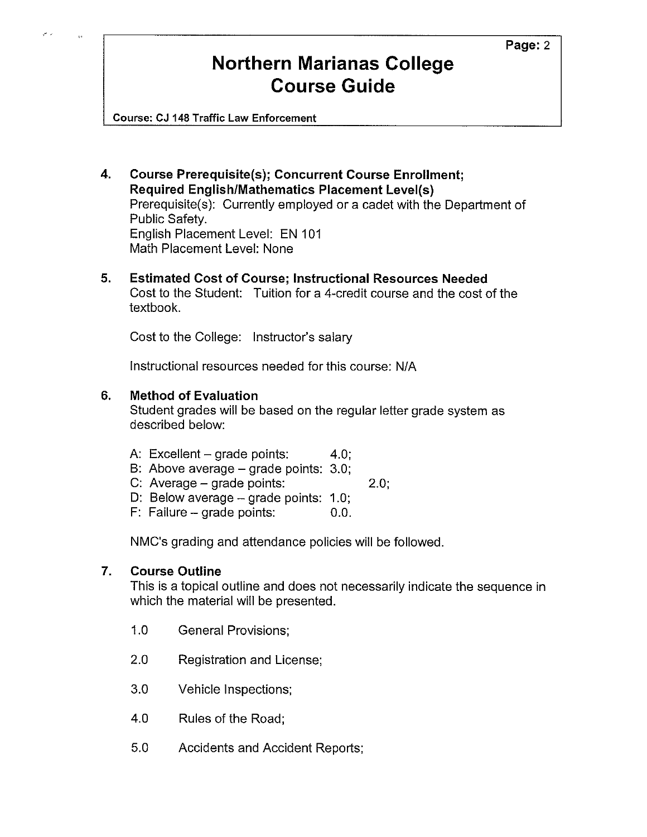**Page:2** 

# **Northern Marianas College Course Guide**

Course: CJ 148 Traffic Law Enforcement

- **4. Course Prerequisite(s); Concurrent Course Enrollment; Required English/Mathematics Placement Level(s)**  Prerequisite(s): Currently employed or a cadet with the Department of Public Safety. English Placement Level: EN 101 Math Placement Level: None
- **5. Estimated Cost of Course; Instructional Resources Needed**  Cost to the Student: Tuition for a 4-credit course and the cost of the textbook.

Cost to the College: Instructor's salary

Instructional resources needed for this course: N/A

### **6. Method of Evaluation**

Student grades will be based on the regular letter grade system as described below:

- A: Excellent  $-$  grade points: 4.0;
- B: Above average grade points: 3.0;
- C: Average grade points: 2.0;
- D: Below average grade points: 1.0;
- $F:$  Failure grade points:  $0.0$ .

NMC's grading and attendance policies will be followed.

### **7. Course Outline**

This is a topical outline and does not necessarily indicate the sequence in which the material will be presented.

- 1.0 General Provisions;
- 2.0 Registration and License;
- 3.0 Vehicle Inspections;
- 4.0 Rules of the Road;
- 5.0 Accidents and Accident Reports;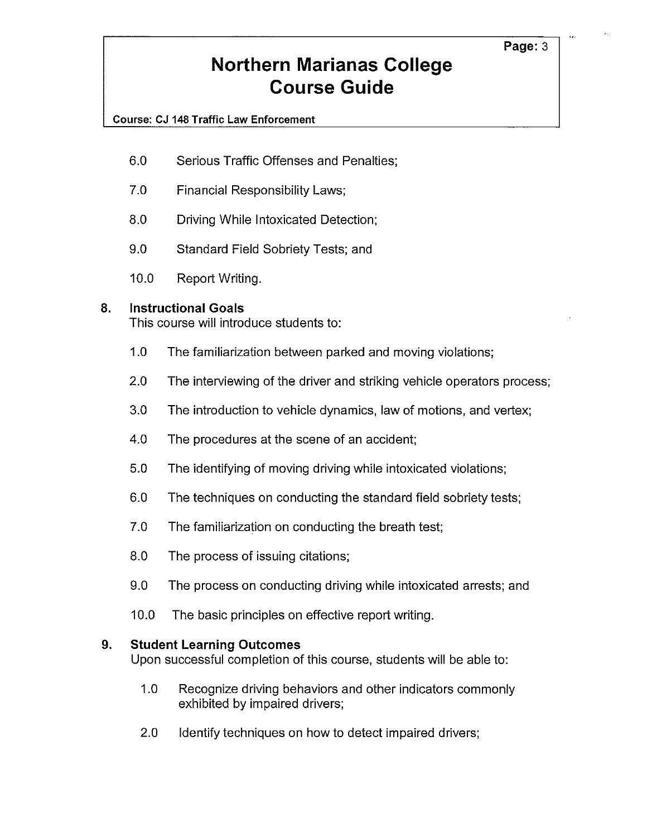# **Northern Marianas College Course Guide**

### **Course: CJ 148 Traffic Law Enforcement**

- 6.0 Serious Traffic Offenses and Penalties;
- 7.0 Financial Responsibility Laws;
- 8.0 Driving While Intoxicated Detection;
- 9.0 Standard Field Sobriety Tests; and
- 10.0 Report Writing.

### **8. Instructional Goals**

This course will introduce students to:

- 1.0 The familiarization between parked and moving violations;
- 2.0 The interviewing of the driver and striking vehicle operators process;
- 3.0 The introduction to vehicle dynamics, law of motions, and vertex;
- 4.0 The procedures at the scene of an accident;
- 5.0 The identifying of moving driving while intoxicated violations;
- 6.0 The techniques on conducting the standard field sobriety tests;
- 7.0 The familiarization on conducting the breath test;
- 8.0 The process of issuing citations;
- 9.0 The process on conducting driving while intoxicated arrests; and
- 10.0 The basic principles on effective report writing.

### **9. Student Learning Outcomes**

Upon successful completion of this course, students will be able to:

- 1.0 Recognize driving behaviors and other indicators commonly exhibited by impaired drivers;
- 2.0 Identify techniques on how to detect impaired drivers;